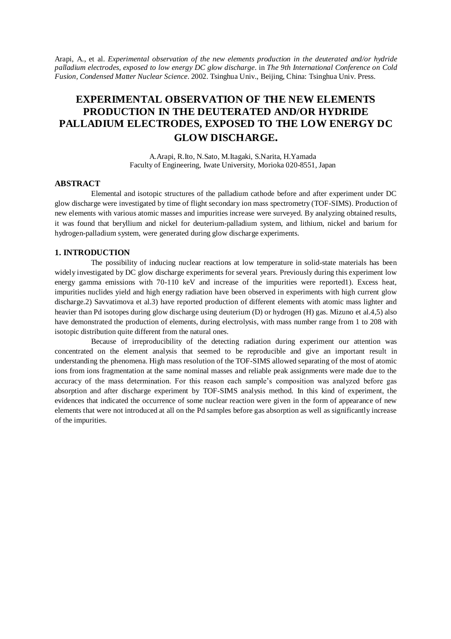Arapi, A., et al. *Experimental observation of the new elements production in the deuterated and/or hydride palladium electrodes, exposed to low energy DC glow discharge*. in *The 9th International Conference on Cold Fusion, Condensed Matter Nuclear Science*. 2002. Tsinghua Univ., Beijing, China: Tsinghua Univ. Press.

# **EXPERIMENTAL OBSERVATION OF THE NEW ELEMENTS PRODUCTION IN THE DEUTERATED AND/OR HYDRIDE PALLADIUM ELECTRODES, EXPOSED TO THE LOW ENERGY DC GLOW DISCHARGE.**

A.Arapi, R.Ito, N.Sato, M.Itagaki, S.Narita, H.Yamada Faculty of Engineering, Iwate University, Morioka 020-8551, Japan

# **ABSTRACT**

Elemental and isotopic structures of the palladium cathode before and after experiment under DC glow discharge were investigated by time of flight secondary ion mass spectrometry (TOF-SIMS). Production of new elements with various atomic masses and impurities increase were surveyed. By analyzing obtained results, it was found that beryllium and nickel for deuterium-palladium system, and lithium, nickel and barium for hydrogen-palladium system, were generated during glow discharge experiments.

# **1. INTRODUCTION**

The possibility of inducing nuclear reactions at low temperature in solid-state materials has been widely investigated by DC glow discharge experiments for several years. Previously during this experiment low energy gamma emissions with 70-110 keV and increase of the impurities were reported1). Excess heat, impurities nuclides yield and high energy radiation have been observed in experiments with high current glow discharge.2) Savvatimova et al.3) have reported production of different elements with atomic mass lighter and heavier than Pd isotopes during glow discharge using deuterium (D) or hydrogen (H) gas. Mizuno et al.4,5) also have demonstrated the production of elements, during electrolysis, with mass number range from 1 to 208 with isotopic distribution quite different from the natural ones.

Because of irreproducibility of the detecting radiation during experiment our attention was concentrated on the element analysis that seemed to be reproducible and give an important result in understanding the phenomena. High mass resolution of the TOF-SIMS allowed separating of the most of atomic ions from ions fragmentation at the same nominal masses and reliable peak assignments were made due to the accuracy of the mass determination. For this reason each sample's composition was analyzed before gas absorption and after discharge experiment by TOF-SIMS analysis method. In this kind of experiment, the evidences that indicated the occurrence of some nuclear reaction were given in the form of appearance of new elements that were not introduced at all on the Pd samples before gas absorption as well as significantly increase of the impurities.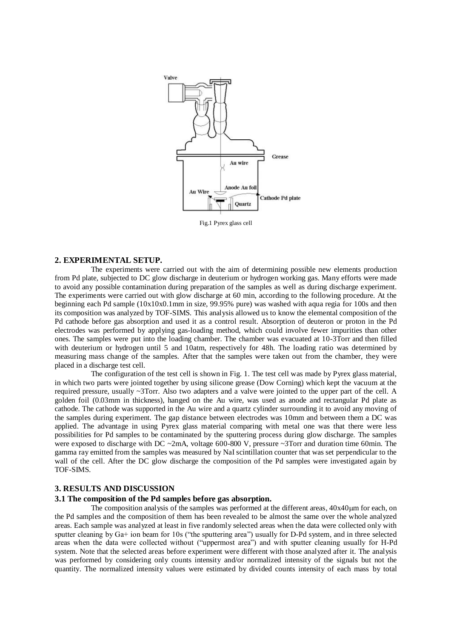

Fig.1 Pyrex glass cell

# **2. EXPERIMENTAL SETUP.**

The experiments were carried out with the aim of determining possible new elements production from Pd plate, subjected to DC glow discharge in deuterium or hydrogen working gas. Many efforts were made to avoid any possible contamination during preparation of the samples as well as during discharge experiment. The experiments were carried out with glow discharge at 60 min, according to the following procedure. At the beginning each Pd sample (10x10x0.1mm in size, 99.95% pure) was washed with aqua regia for 100s and then its composition was analyzed by TOF-SIMS. This analysis allowed us to know the elemental composition of the Pd cathode before gas absorption and used it as a control result. Absorption of deuteron or proton in the Pd electrodes was performed by applying gas-loading method, which could involve fewer impurities than other ones. The samples were put into the loading chamber. The chamber was evacuated at 10-3Torr and then filled with deuterium or hydrogen until 5 and 10atm, respectively for 48h. The loading ratio was determined by measuring mass change of the samples. After that the samples were taken out from the chamber, they were placed in a discharge test cell.

The configuration of the test cell is shown in Fig. 1. The test cell was made by Pyrex glass material, in which two parts were jointed together by using silicone grease (Dow Corning) which kept the vacuum at the required pressure, usually ~3Torr. Also two adapters and a valve were jointed to the upper part of the cell. A golden foil (0.03mm in thickness), hanged on the Au wire, was used as anode and rectangular Pd plate as cathode. The cathode was supported in the Au wire and a quartz cylinder surrounding it to avoid any moving of the samples during experiment. The gap distance between electrodes was 10mm and between them a DC was applied. The advantage in using Pyrex glass material comparing with metal one was that there were less possibilities for Pd samples to be contaminated by the sputtering process during glow discharge. The samples were exposed to discharge with DC ~2mA, voltage 600-800 V, pressure ~3Torr and duration time 60min. The gamma ray emitted from the samples was measured by NaI scintillation counter that was set perpendicular to the wall of the cell. After the DC glow discharge the composition of the Pd samples were investigated again by TOF-SIMS.

# **3. RESULTS AND DISCUSSION**

## **3.1 The composition of the Pd samples before gas absorption.**

The composition analysis of the samples was performed at the different areas,  $40x40 \mu m$  for each, on the Pd samples and the composition of them has been revealed to be almost the same over the whole analyzed areas. Each sample was analyzed at least in five randomly selected areas when the data were collected only with sputter cleaning by  $Ga+$  ion beam for 10s ("the sputtering area") usually for D-Pd system, and in three selected areas when the data were collected without ("uppermost area") and with sputter cleaning usually for H-Pd system. Note that the selected areas before experiment were different with those analyzed after it. The analysis was performed by considering only counts intensity and/or normalized intensity of the signals but not the quantity. The normalized intensity values were estimated by divided counts intensity of each mass by total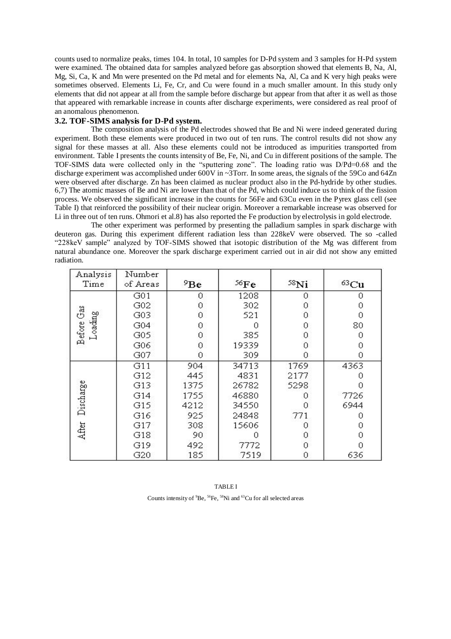counts used to normalize peaks, times 104. In total, 10 samples for D-Pd system and 3 samples for H-Pd system were examined. The obtained data for samples analyzed before gas absorption showed that elements B, Na, Al, Mg, Si, Ca, K and Mn were presented on the Pd metal and for elements Na, Al, Ca and K very high peaks were sometimes observed. Elements Li, Fe, Cr, and Cu were found in a much smaller amount. In this study only elements that did not appear at all from the sample before discharge but appear from that after it as well as those that appeared with remarkable increase in counts after discharge experiments, were considered as real proof of an anomalous phenomenon.

# **3.2. TOF-SIMS analysis for D-Pd system.**

The composition analysis of the Pd electrodes showed that Be and Ni were indeed generated during experiment. Both these elements were produced in two out of ten runs. The control results did not show any signal for these masses at all. Also these elements could not be introduced as impurities transported from environment. Table I presents the counts intensity of Be, Fe, Ni, and Cu in different positions of the sample. The TOF-SIMS data were collected only in the "sputtering zone". The loading ratio was D/Pd=0.68 and the discharge experiment was accomplished under 600V in ~3Torr. In some areas, the signals of the 59Co and 64Zn were observed after discharge. Zn has been claimed as nuclear product also in the Pd-hydride by other studies. 6,7) The atomic masses of Be and Ni are lower than that of the Pd, which could induce us to think of the fission process. We observed the significant increase in the counts for 56Fe and 63Cu even in the Pyrex glass cell (see Table I) that reinforced the possibility of their nuclear origin. Moreover a remarkable increase was observed for Li in three out of ten runs. Ohmori et al.8) has also reported the Fe production by electrolysis in gold electrode.

The other experiment was performed by presenting the palladium samples in spark discharge with deuteron gas. During this experiment different radiation less than 228keV were observed. The so -called "228keV sample" analyzed by TOF-SIMS showed that isotopic distribution of the Mg was different from natural abundance one. Moreover the spark discharge experiment carried out in air did not show any emitted radiation.

| Analysis<br>Time  | Number<br>of Areas | 9Be  | 56Fe  | $58$ Ni | $63 \text{Cu}$ |
|-------------------|--------------------|------|-------|---------|----------------|
|                   | G01                | 0    | 1208  | 0       | 0              |
|                   | G02                | 0    | 302   | 0       | 0              |
| Gas               | G03                | 0    | 521   | 0       | 0              |
|                   | G04                | 0    | 0     | 0       | 80             |
| Loading<br>Before | G05                | 0    | 385   | 0       | 0              |
|                   | G06                | 0    | 19339 | 0       | 0              |
|                   | G07                | 0    | 309   | 0       | 0              |
|                   | G11                | 904  | 34713 | 1769    | 4363           |
|                   | G12                | 445  | 4831  | 2177    | 0              |
| Discharge         | G13                | 1375 | 26782 | 5298    | 0              |
|                   | G14                | 1755 | 46880 | 0       | 7726           |
|                   | G15                | 4212 | 34550 | 0       | 6944           |
|                   | G16                | 925  | 24848 | 771     | 0              |
|                   | G17                | 308  | 15606 | 0       | 0              |
| After             | G18                | 90   | Ω     | 0       | 0              |
|                   | G19                | 492  | 7772  | 0       | 0              |
|                   | G20                | 185  | 7519  | 0       | 636            |

| <b>TABLE I</b>                                                                                    |
|---------------------------------------------------------------------------------------------------|
| Counts intensity of ${}^{9}Be$ , ${}^{56}Fe$ , ${}^{58}Ni$ and ${}^{63}Cu$ for all selected areas |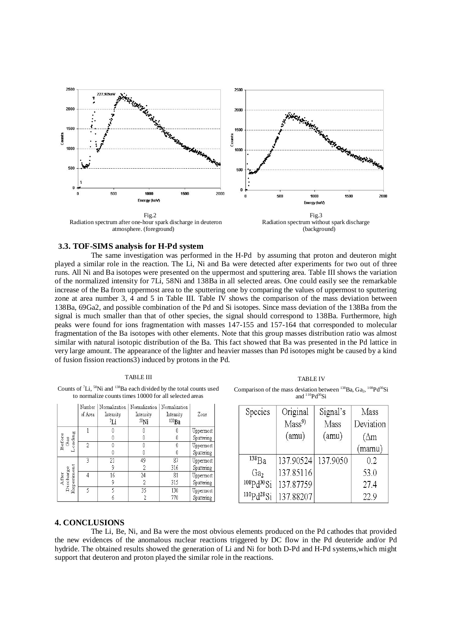

### **3.3. TOF-SIMS analysis for H-Pd system**

The same investigation was performed in the H-Pd by assuming that proton and deuteron might played a similar role in the reaction. The Li, Ni and Ba were detected after experiments for two out of three runs. All Ni and Ba isotopes were presented on the uppermost and sputtering area. Table III shows the variation of the normalized intensity for 7Li, 58Ni and 138Ba in all selected areas. One could easily see the remarkable increase of the Ba from uppermost area to the sputtering one by comparing the values of uppermost to sputtering zone at area number 3, 4 and 5 in Table III. Table IV shows the comparison of the mass deviation between 138Ba, 69Ga2, and possible combination of the Pd and Si isotopes. Since mass deviation of the 138Ba from the signal is much smaller than that of other species, the signal should correspond to 138Ba. Furthermore, high peaks were found for ions fragmentation with masses 147-155 and 157-164 that corresponded to molecular fragmentation of the Ba isotopes with other elements. Note that this group masses distribution ratio was almost similar with natural isotopic distribution of the Ba. This fact showed that Ba was presented in the Pd lattice in very large amount. The appearance of the lighter and heavier masses than Pd isotopes might be caused by a kind of fusion fission reactions3) induced by protons in the Pd.

#### TABLE III

Counts of <sup>7</sup>Li, <sup>58</sup>Ni and <sup>138</sup>Ba each divided by the total counts used to normalize counts times 10000 for all selected areas

|                                  |                          | Number<br>of Area | Normalization<br>Intensity<br>Łi | Normalization<br>Intensity<br>$58$ Ni | Normalization<br>Intensity<br>138Ba | Zone       |
|----------------------------------|--------------------------|-------------------|----------------------------------|---------------------------------------|-------------------------------------|------------|
|                                  |                          |                   |                                  |                                       |                                     | Uppermost  |
|                                  |                          |                   |                                  |                                       |                                     | Sputtering |
|                                  | Before<br>Gas<br>Loading |                   |                                  |                                       |                                     | Uppermost  |
|                                  |                          |                   |                                  |                                       |                                     | Sputtering |
|                                  |                          |                   | 21                               | 49                                    | 87                                  | Uppermost  |
| Experiment<br>Discharge<br>After |                          |                   |                                  |                                       | 316                                 | Sputtering |
|                                  |                          |                   | 16                               | 24                                    | 81                                  | Uppermost  |
|                                  |                          |                   |                                  | 2                                     | 315                                 | Sputtering |
|                                  |                          | 5                 |                                  | 35                                    | 130                                 | Uppermost  |
|                                  |                          |                   |                                  |                                       | 770                                 | Sputtering |

TABLE IV Comparison of the mass deviation between  $^{138}$ Ba, Ga<sub>2</sub>,  $^{108}$ Pd<sup>30</sup>Si

| arison or the mass de manon between |                    | <b>Du. Ou.</b> |  |
|-------------------------------------|--------------------|----------------|--|
|                                     | and $110Pd^{30}Si$ |                |  |
|                                     |                    |                |  |

| Species             | Original          | Signal's | Mass         |
|---------------------|-------------------|----------|--------------|
|                     | Mass <sup>9</sup> | Mass     | Deviation    |
|                     | (amu)             | (amu)    | $(\Delta m)$ |
|                     |                   |          | (mamu)       |
| $^{138}$ Ba         | 137.90524         | 137.9050 | 0.2          |
| Ga <sub>2</sub>     | 137.85116         |          | 53.0         |
| ${}^{108}Pd^{30}Si$ | 137.87759         |          | 27.4         |
| $110pd$ $28qi$      | 137.88207         |          | 22.9         |

## **4. CONCLUSIONS**

The Li, Be, Ni, and Ba were the most obvious elements produced on the Pd cathodes that provided the new evidences of the anomalous nuclear reactions triggered by DC flow in the Pd deuteride and/or Pd hydride. The obtained results showed the generation of Li and Ni for both D-Pd and H-Pd systems,which might support that deuteron and proton played the similar role in the reactions.